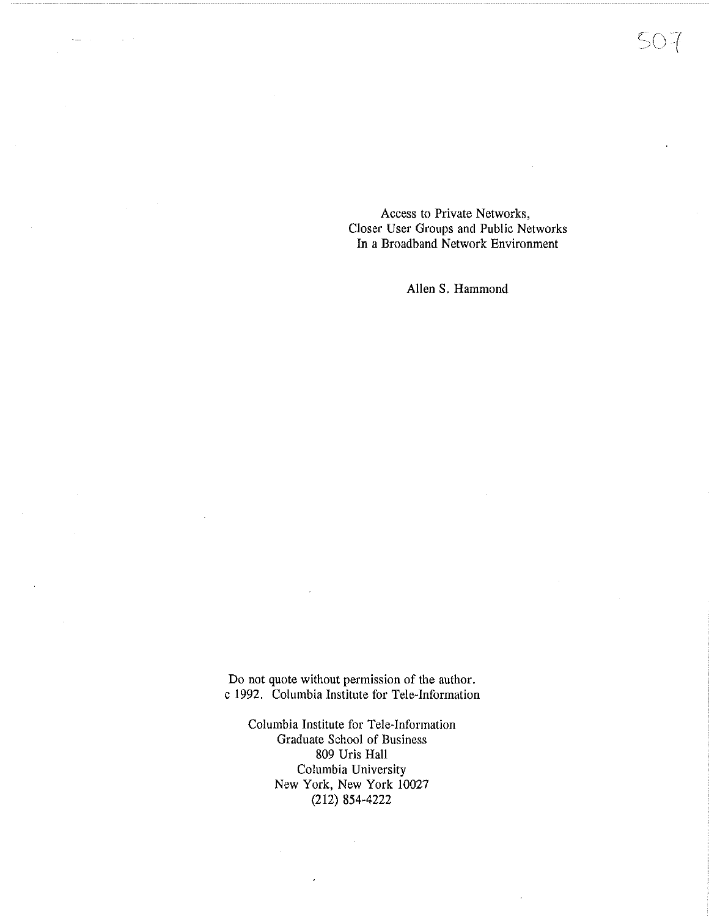Access to Private Networks, Closer User Groups and Public Networks In a Broadband Network Environment

Allen S. Hammond

Do not quote without permission of the author. c 1992. Columbia Institute for Tele-Information

Columbia Institute for Tele-Information Graduate School of Business 809 Uris Hall Columbia University New York, New York 10027 (212) 854-4222

 $\sim$ 

 $\mathcal{A}^{\mathcal{A}}$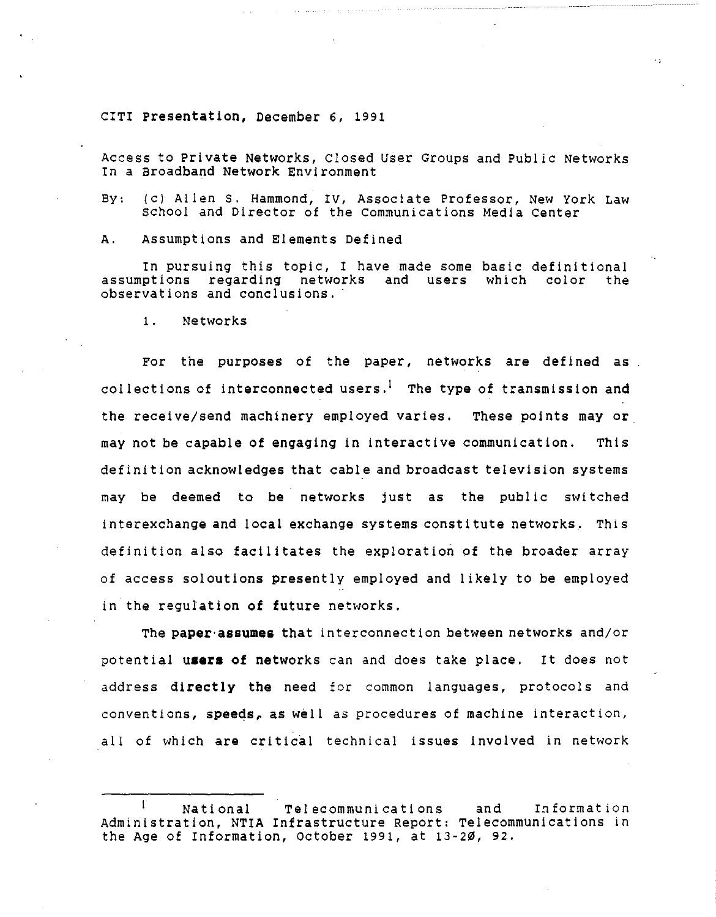CITI **Presentation,** December 6, 1991

Access to Private Networks, Closed User Groups and Public Networks In a Broadband **Network** Environment

By: (c) Allens. Hammond, *IV,* Associate Professor, New York Law school and Director of the communications Media center

A. Assumptions and Elements Defined

In pursuing this topic, I have made some basic definitional assumptions regarding networks and users which color the observations and conclusions.

1. Networks

For the purposes of the paper, networks are defined as collections of interconnected users.<sup>1</sup> The type of transmission and the receive/send machinery employed varies. These points may or. may not be capable of engaging in interactive communication. This definition acknowledges that cable and broadcast television systems may be deemed to be networks just as the public switched interexchange and local exchange systems constitute networks. This definition also facilitates the exploration of the broader array of access soloutions presently employed and likely to be employed in the regulation of future networks.

The **paper·assumes** that interconnection between networks and/or potential users of networks can and does take place. It does not address **directly the** need for common languages, protocols and conventions, **speeds, as** well as procedures of machine interaction, all of which are critical technical issues involved in network

<sup>-1</sup> National Telecommunications and Information Administration, **NTIA** Infrastructure Report: Telecommunications in the Age of Information, October 1991, at 13-20, 92,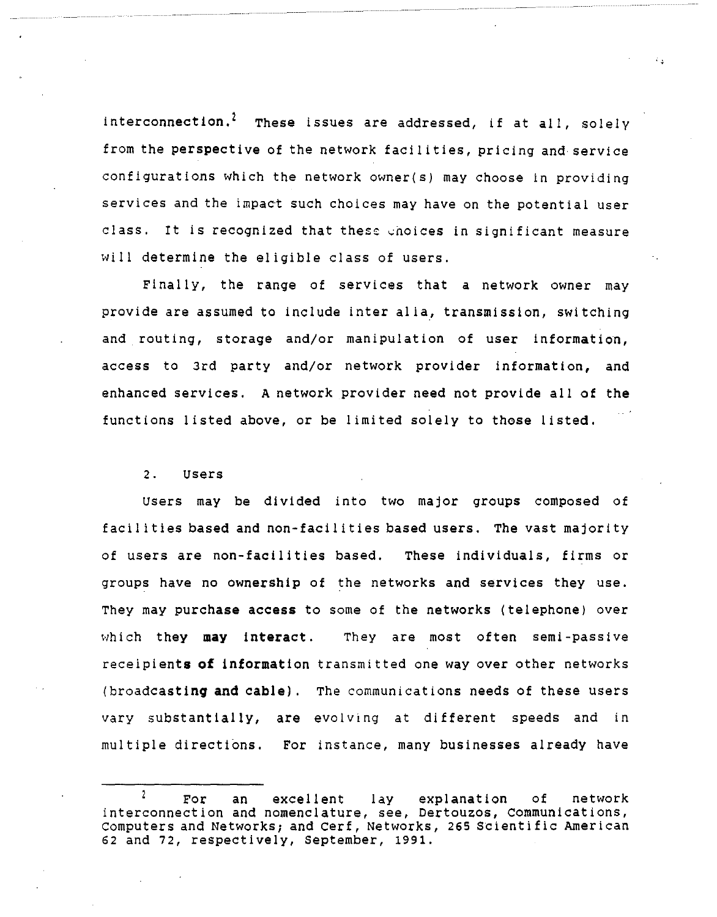interconnection.<sup>2</sup> These issues are addressed, if at all, solely from the **perspective** of the network facilities, pricing and service configurations which the network owner(s) may choose in providing services and the impact such choices may have on the potential user class. It is recognized that these enoices in significant measure will determine the eligible class of users.

Finally, the range of services that *a* network owner may provide are assumed to include inter alla, transmission, switching and routing, storage and/or manipulation of user information, access to 3rd party and/or network provider information, and enhanced services. A network provider need not provide all of the functions listed above, or be limited solely to those listed.

#### 2. users

users may be divided into two major groups composed of facilities based and non-facilities based users. The vast majority of users are non-facilities based. These individuals, firms or groups have no ownership of the networks and services they use. They may purchase access to some of the networks (telephone) over which they may interact. They are most often semi-passive receipients **of** information transmitted one way over other networks (broadcasting and cable). The communications needs of these users vary substantially, **are** evolving at different speeds and in multiple directions. For instance, many businesses already have

 $\overline{2}$ For an excellent lay explanation of network Interconnection and nomenclature, see, Dertouzos, communications, Computers and Networks; and Cerf, Networks, 265 Scientific American 62 and 72, respectively, September, 1991.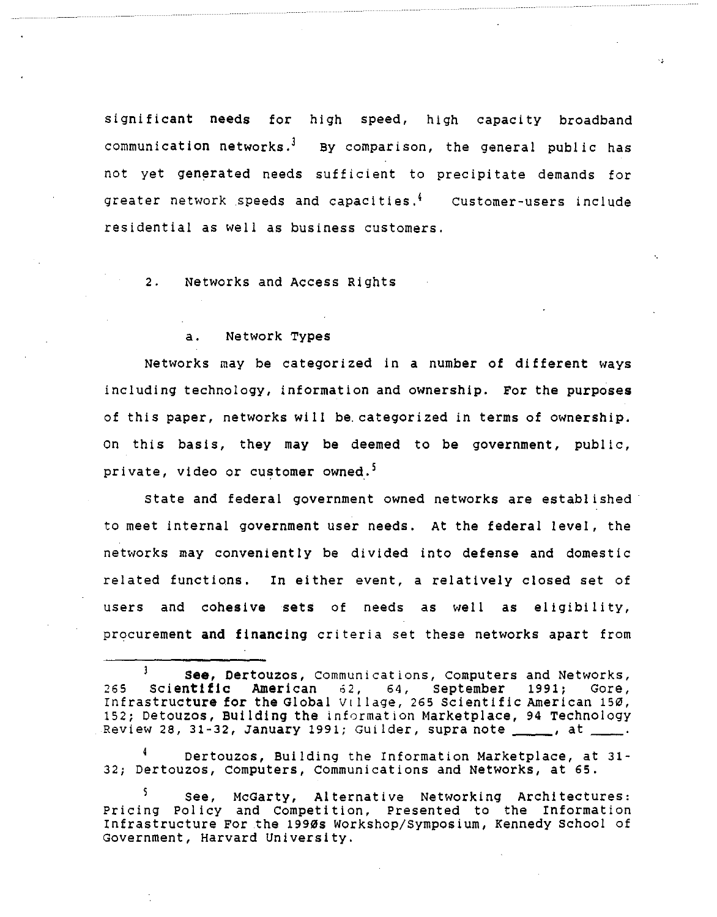significant **needs** for high speed, high capacity broadband communication networks.<sup>3</sup> By comparison, the general public has not yet generated needs sufficient to precipitate demands for greater network speeds and capacities. $^4$  customer-users includ residential as well as business customers.

2. Networks and Access Rights

### a. Network Types

Networks may be categorized in a number of different ways including technology, information and ownership. For the purposes of this paper, networks will be.categorized in terms of ownership. On this basis, they may be deemed to be government, public, private, video or customer owned.<sup>5</sup>

state and federal government owned networks are established· to meet internal government user needs. At the federal level, the networks may conveniently be divided into defense and domestic related functions. In either event, a relatively closed set of users and cohesive sets of needs as well as eligibility, procurement and financing criteria set these networks apart from

Dertouzos, Building the Information Marketplace, at 31- 32; Dertouzos, computers, communications and Networks, at 65.

 $\mathbf{1}$ **see,** Oertouzos, communications, computers and Networks, 265 Scientific American 62, 64, September 1991; Gore, Infrastructure for the Global Village, 265 Scientific American 150, 152; Detouzos, Building the information Marketplace, 94 Technology<br>Review 28, 31-32, January 1991; Guilder, supra note \_\_\_\_\_, at \_\_\_\_.

see, McGarty, Alternative Networking Architectures: Pricing Polley and Competition, Presented to the Information Infrastructure For .the 1990s Workshop/Symposium, Kennedy school of Government, Harvard University.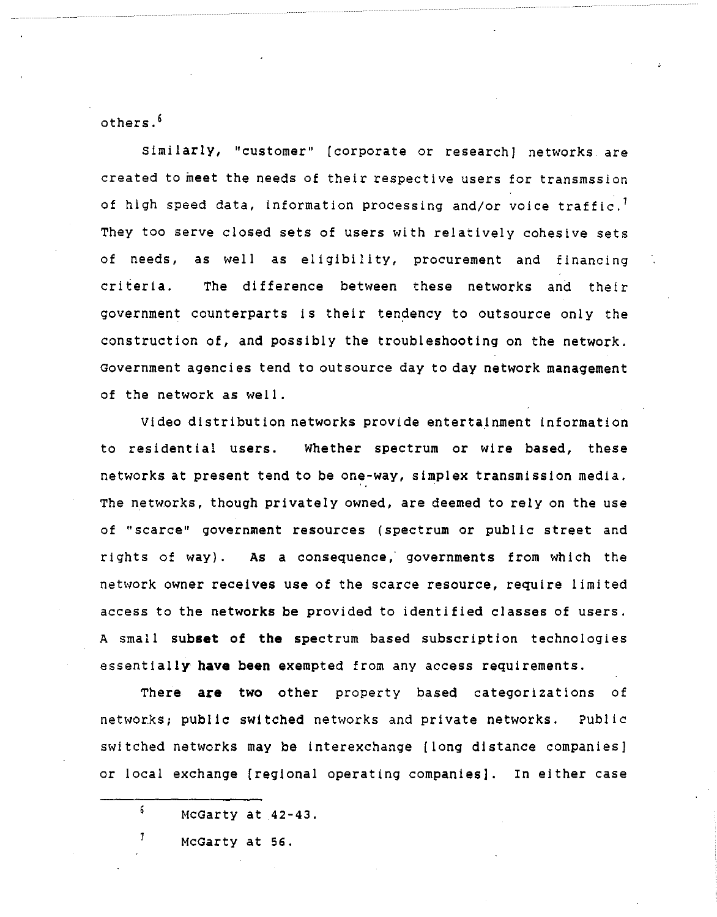others. 6

Similarly, "customer" (corporate or research] networks are created to meet the needs of their respective users for transmssion of high speed data, information processing and/or voice traffic.<sup>1</sup> They too serve closed sets of users with relatively cohesive sets of needs, as well as eligibility, procurement and financing criteria. The difference between these networks and their government counterparts is their tendency to outsource only the construction of, and possibly the troubleshooting on the network. Government agencies tend to outsource day to day network management of the network as well.

Video distribution networks provide entertainment information to residential users. Whether spectrum or wire based, these networks at present tend to be one-way, simplex transmission media. The networks, though privately owned, are deemed to rely on the use of "scarce" government resources (spectrum or public street and rights of way). As a consequence,' governments from which the network owner receives use of the scarce resource, require limited access to the networks be provided to identified classes of users. A small **subset of the** spectrum based subscription technologies essentially **have** been exempted from any access requirements.

There **are** two other property based categorizations of networks; public switched networks and private networks. Public switched networks may be interexchange (long distance companies] or local exchange (regional operating companies]. In either case

McGarty at 56.

1

<sup>6</sup>  McGarty at 42-43.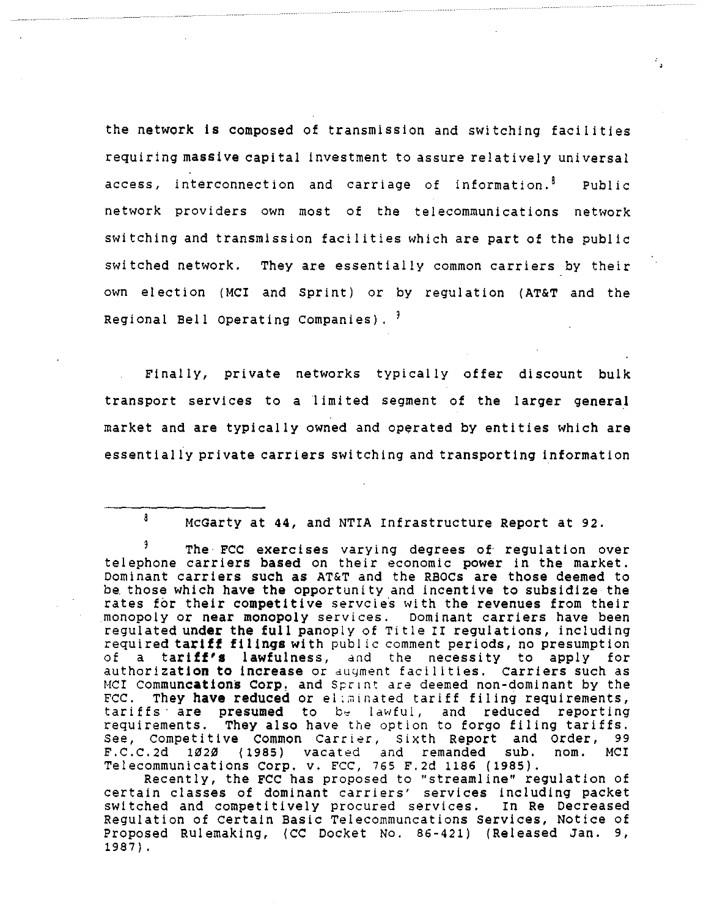the network **is** composed of transmission and switching facilities requiring **massive** capital investment to assure relatively universal access, interconnection and carriage of information.<sup>8</sup> Public network providers own most of the telecommunications network switching and transmission facilities which are part of the public switched network. They are essentially common carriers by their own election (MCI and sprint) or by regulation **(AT&T** and the Regional Bell Operating Companies).

Finally, private networks typically offer discount bulk transport services to a limited segment of the larger general market and are typically owned and operated by entities which are essentially private carriers switching and transporting information

8 McGarty at **44,** and NTIA Infrastructure Report at 92.

The FCC exercises varying degrees of regulation over telephone carriers based on their economic power in the market. Dominant carriers such as AT&T and the RBOCs are those deemed to be those which have the opportunity and incentive to subsidize the rates for their competitive servoies with the revenues from their monopoly or **near** monopoly services. Dominant carriers have been regulated **under the full** panoply of Title II regulations, including required **tariff filings** with pub! ic comment periods, no presumption of a **tariff's lawfulness,** and the necessity to apply for authorization **to increase** or duyment facilities. carriers such as NCI **communcations Corp.** and Sprint are deemed non-dominant by the FCC. They have reduced or eliminated tariff filing requirements,<br>tariffs are presumed to b<sub>y</sub> lawful, and reduced reporting requirements. They also have the option to forgo filing tariffs. See, competitive common carrier, Sixth Report and order, 99 F.C.C.2d 1020 (1985) vacated and remanded sub. nom. MCI Telecommunications corp. v. FCC, 765 F.2d 1186 (1985).

Recently, the FCC has proposed to "streamline" regulation of certain classes of dominant carriers' services including packet switched and competitively procured services. In **Re** Decreased Regulation of Certain Basic Telecommuncations Services, Notice of Proposed Rulemaking, (CC Docket No. 86-421) (Released Jan. 9, 1987).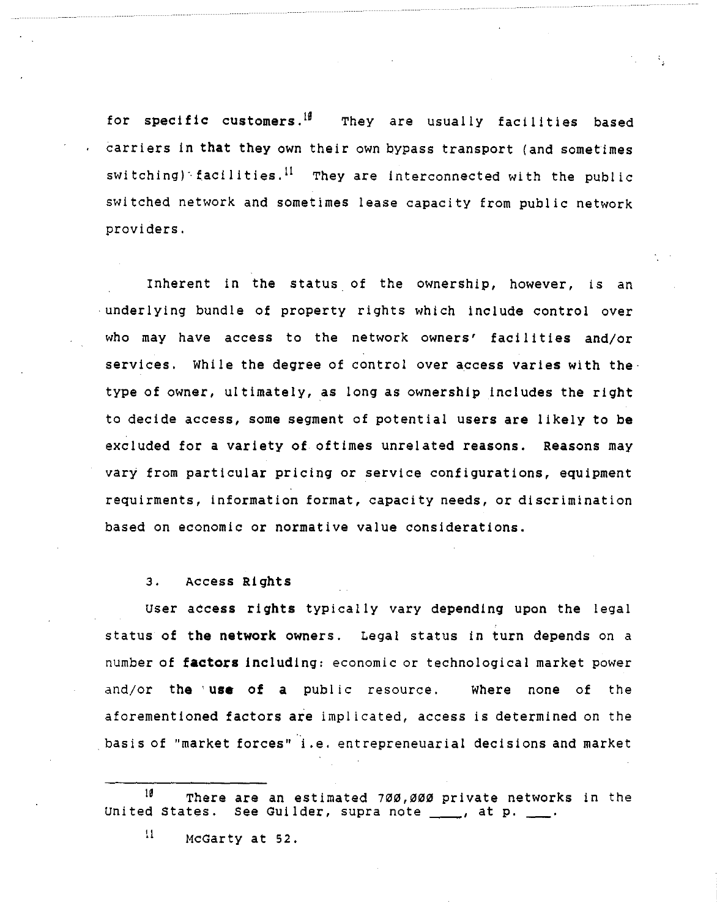for specific customers.<sup>If</sup> They are usually facilities based carriers in **that** they own their own bypass transport (and sometimes switching) facilities.<sup>II</sup> They are interconnected with the public switched network and sometimes lease capacity from public network providers.

Inherent in the status of the ownership, however, is an · underlying bundle of property rights which include control over who may have access to the network owners' facilities and/or services. While the degree of control over access varies with the· type of owner, ultimately, as long as ownership includes the right to decide access, some segment of potential users are likely to be excluded for a variety of oftimes unrelated reasons. Reasons may vary from particular pricing or service configurations, equipment requirments, information format, capacity needs, or discrimination based on economic or normative value considerations.

3. Access Rights

user access rights typically vary depending upon the legal status of the **network** owners. Legal status in turn depends on a number of **factors** including: economic or technological market power and/or the' **use** of a public resource. Where none of the aforementioned factors are implicated, access is determined on the . basis of ''market forces• i.e. entrepreneuarial decisions and market

 $\frac{11}{1}$  McGarty at 52.

 $^{18}$  There are an estimated 700,000 private networks in the United States. See Guilder, supra note \_\_\_\_, at p. \_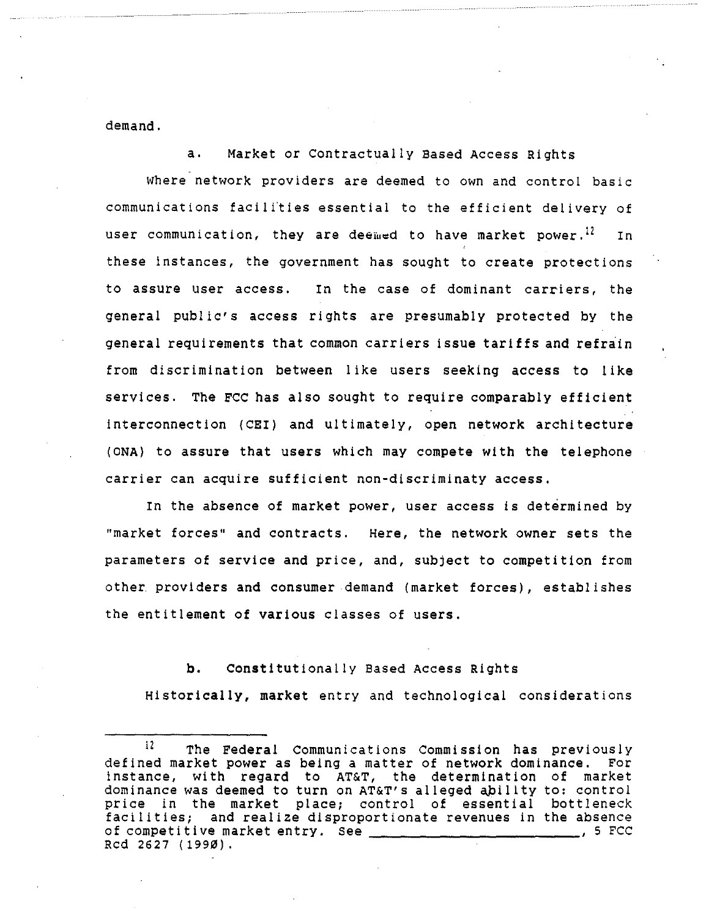demand.

a. Market or Contractually Based Access Rights

where network providers are deemed to own and control basic communications facili'ties essential to the efficient delivery of user communication, they are deemed to have market power.<sup>12</sup> In these instances, the government has sought to create protections to assure user access. In the case of dominant carriers, the general public's access rights are presumably protected by the general requirements that common carriers issue tariffs and refrain from discrimination between like users seeking access to like services. The FCC has also sought to require comparably efficient interconnection (CEI) and ultimately, open network architecture (ONA) to assure that users which may compete with the telephone carrier can acquire sufficient non-discriminaty access.

In the absence of market power, user access is determined by "market forces" and contracts. Here, the network owner sets the parameters of service and price, and, subject to competition from other providers and consumer demand (market forces), establishes the entitlement of various classes of users.

**b,** Constitutionally Based Access Rights **Historically, market** entry and technological considerations

<sup>&</sup>lt;sup>12</sup> The Federal Communications Commission has previously defined market power as being a matter of network dominance. For instance, with regard to AT&T, the determination of market dominance was deemed to turn on AT&T's alleged ability to: control price in the market place; control of essential bottleneck facilities; and realize disproportionate revenues in the absence of competitive market entry. See  $\frac{1}{\sqrt{1-\frac{1}{2}}}\frac{1}{\sqrt{1-\frac{1}{2}}}\frac{1}{\sqrt{1-\frac{1}{2}}}\frac{1}{\sqrt{1-\frac{1}{2}}}\frac{1}{\sqrt{1-\frac{1}{2}}}\frac{1}{\sqrt{1-\frac{1}{2}}}\frac{1}{\sqrt{1-\frac{1}{2}}}\frac{1}{\sqrt{1-\frac{1}{2}}}\frac{1}{\sqrt{1-\frac{1}{2}}}\frac{1}{\sqrt{1-\frac{1}{2}}}\frac{1}{\sqrt{1-\frac{1}{2}}}\frac{1}{\sqrt{1-\frac$ Red 2627 ( 1990).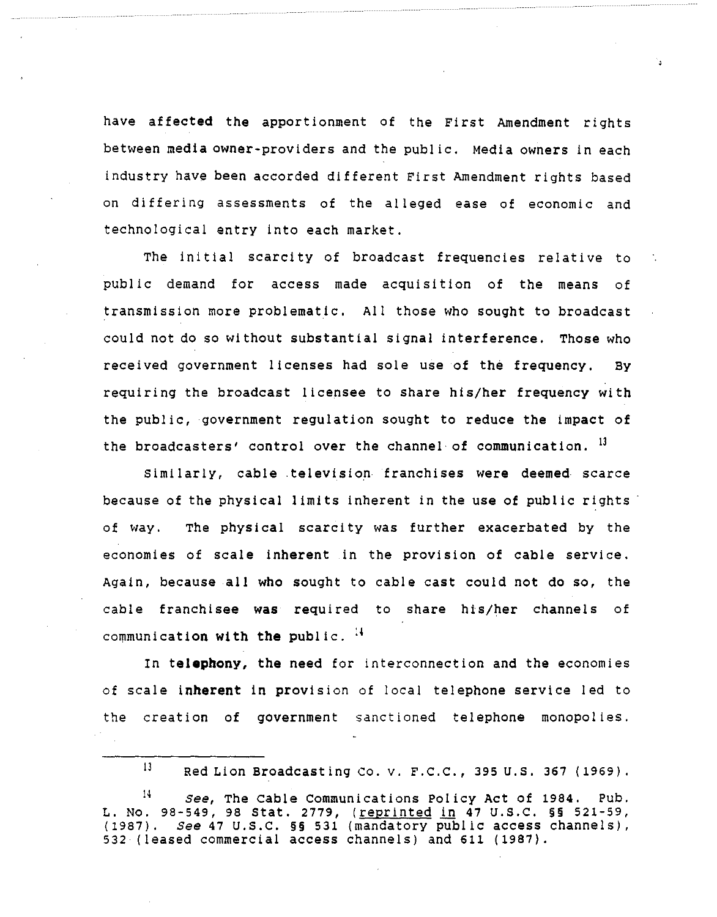have affected the apportionment of the First Amendment rights between media owner-providers and the public. Media owners in each industry have been accorded different First Amendment rights based on differing assessments of the alleged ease of economic and technological entry into each market.

The initial scarcity of broadcast frequencies relative to public demand for access made acquisition of the means of transmission more problematic. All those who sought to broadcast could not do so without substantial signal interference. Those who received government licenses had sole use of the frequency. By requiring the broadcast licensee to share his/her frequency with the public, government regulation sought to reduce the impact of the broadcasters' control over the channel of communication.  $^{13}$ 

similarly, cable television franchises were deemed scarce because of the physical limits inherent in the use of public rights of way. The physical scarcity was further exacerbated by the economies of scale inherent in the provision of cable service. Again, because all who sought to cable cast could not do so, the cable franchisee **was** required to share his/her channels of communication with the public. <sup>14</sup>

In **telephony, the** need for interconnection and the economies of scale **inherent** in provision of local telephone service led to the creation of government sanctioned telephone monopolies.

<sup>13</sup> Red Lion Broadcasting Co. v. F.C.C., 395 U.S. 367 (1969).

<sup>14</sup>*see,* The cable Communications Policy Act of 1984, Pub. L. No. 98-549, 98 Stat. 2779, (reprinted in 47 U.S.C. §§ 521-59, ( 1987). *see* 47 u.s.c. §§ 531 (mandatory pub! ic access channels), 532 (leased commercial access channels) and 611 (1987).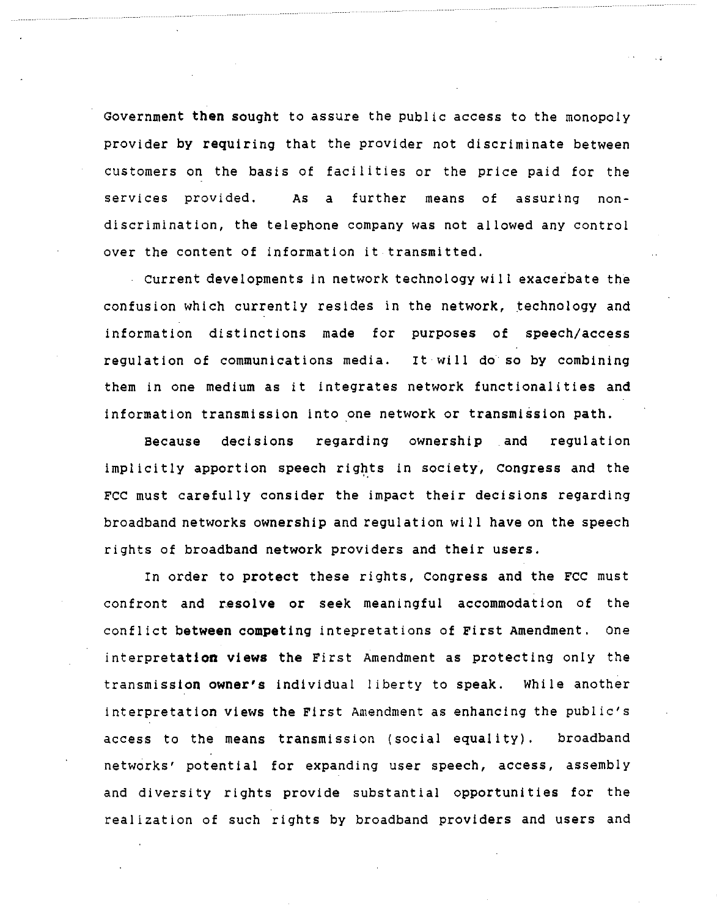Government **then** sought to assure the public access to the monopoly provider by requiring that the provider not discriminate between customers on the basis of facilities or the price paid for the services provided. As a further means of assuring nondiscrimination, the telephone company was not allowed any control over the content of information it transmitted.

current developments in network technology will exaceibate the confusion which currently resides in the network, technology and information distinctions made for purposes of speech/access regulation of communications media. It will do so by combining them in one medium as it integrates network functionalities and information transmission into one network or transmission path.

Because decisions regarding ownership and regulation implicitly apportion speech rights in society, Congress and the FCC must carefully consider the impact their decisions regarding broadband networks ownership and regulation will have on the speech rights of broadband network providers and their users.

In order to protect these rights, Congress and the FCC must confront and resolve or seek meaningful accommodation of the conflict **between competing** intepretations of First Amendment. one interpretation **views** the First Amendment as protecting only the transmission **owner's** individual I iberty to speak. While another interpretation views the First Amendment as enhancing the public's access to the means transmission (social equality). broadband networks' potential for expanding user speech, access, assembly and diversity rights provide substantial opportunities for the realization of such rights by broadband providers and users and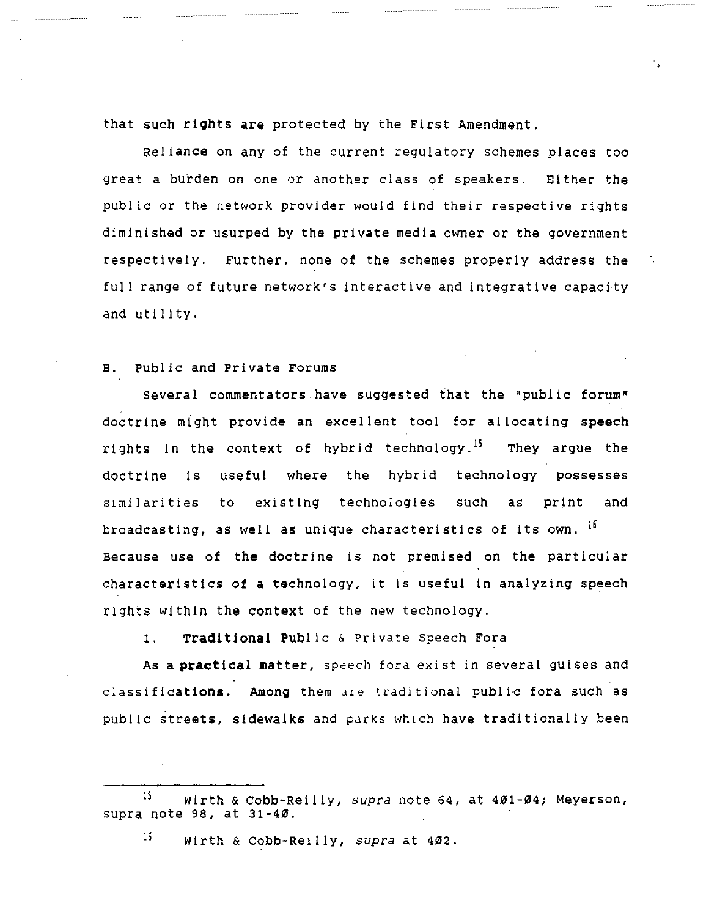that such **rights are** protected by the First Amendment.

Reliance on any of the current regulatory schemes places too great a burden on one or another class of speakers. Either the public or the network provider would find their respective rights diminished or usurped by the private media owner or the government respectively. Further, none of the schemes properly address the full range of future network's interactive and integrative capacity and utility.

### B. Public and Private Forums

Several commentators have suggested that the "public forum" doctrine might provide an excel lent tool for al locating **speech**  rights in the context of hybrid technology.<sup>15</sup> They argue the doctrine is useful where the hybrid technology possesses similarities to existing technologies such as print and broadcasting, as well as unique characteristics of its own. 16 Because use of the doctrine is not premised on the particular characteristics of a technology, it is useful in analyzing speech rights within the context of the new technology.

1. **Traditional** Public & Private Speech Fora

As a **practical** matter, speech fora exist in several guises and classifications. Among them are traditional public fora such as public streets, sidewalks and parks which have traditionally been

16 Wirth & Cobb-Reilly, *supra* at 402.

<sup>:</sup>s Wirth & Cobb-Reilly, *supra* note 64, at 401-04; Meyerson, supra note 98, at 31-40.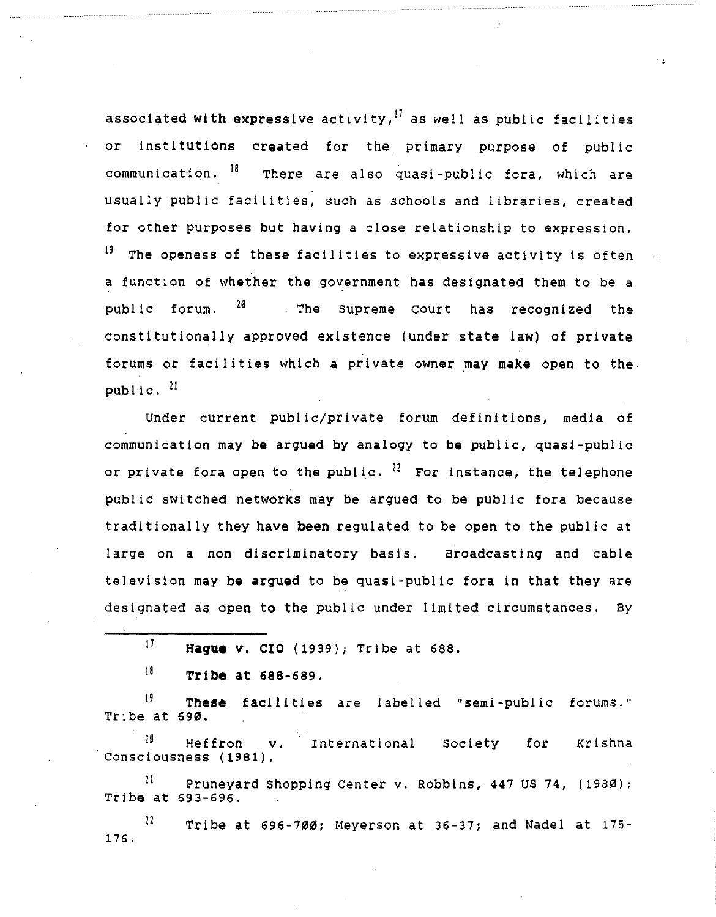associated **with** expressive activity, 17 as well as public facilities or institutions created for the primary purpose of public communication.  $18$  There are also quasi-public fora, which are usually public facilities, such as schools and libraries, created for other purposes but having a close relationship to expression.  $19$  The openess of these facilities to expressive activity is often a function of whether the government has designated them to be a public forum.  $28$  The Supreme Court has recognized the constitutionally approved existence (under state law) of private forums or facilities which a private owner may make open to the. public.  $21$ 

Under current public/private forum definitions, media of communication may be argued by analogy to be public, quasi-public or private fora open to the public.  $^{22}$  For instance, the telephone public switched networks may be argued to be public fora because traditionally they have **been** regulated to be open to the public at large on a non discriminatory basis. Broadcasting and cable television may be argued to be quasi-public fora in that they are designated as open to the public under limited circumstances. By

<sup>19</sup> These facilities are labelled "semi-public forums. Tribe at 690.

20 Heffron v. International society for Consciousness (1981). Krishna

 $^{21}$  Pruneyard Shopping Center v. Robbins, 447 US 74, (1980); Tribe at 693-696.

 $12$  Tribe at 696-700; Meyerson at 36-37; and Nadel at 175-176.

<sup>17</sup>  **Hague** v. CIO (1939); Tribe at 688.

<sup>18</sup>  **Tribe at** 688-689.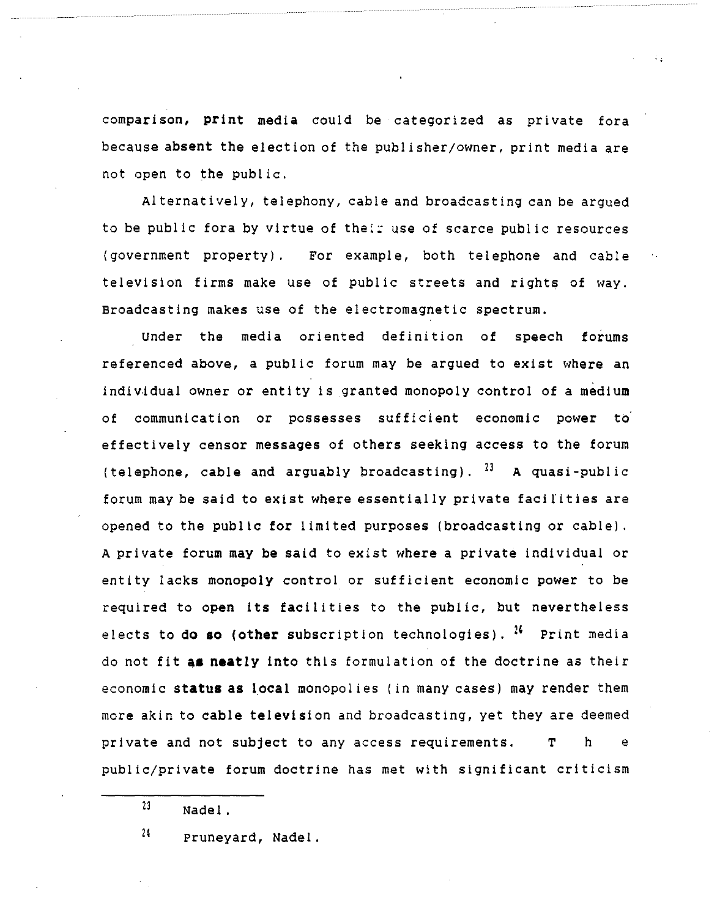comparison, **print** media could be categorized as private fora because **absent the** election of the publisher/owner, print media are not open to the public.

Alternatively, telephony, cable and broadcasting can be argued to be public fora by virtue of their use of scarce public resources ( government property) . For example, both telephone and cable television firms make use of public streets and rights of way. Broadcasting makes use of the electromagnetic spectrum.

Under the media oriented definition of speech forums referenced above, a public forum may be argued to exist where an individual owner or entity is granted monopoly control of a medium of communication or possesses sufficient economic power to· effectively censor messages of others seeking access to the forum (telephone, cable and arguably broadcasting).  $^{23}$  A quasi-public forum may be said to exist where essentially private facilities are opened to the public for limited purposes (broadcasting or cable). A private forum may be said to exist where a private individual or entity lacks monopoly control or sufficient economic power to be required to open its facilities to the public, but nevertheless elects to do **so (other** subscription technologies). 21 Print media do not fit **a• neatly** into this formulation of the doctrine as their economic **status as** local monopolies (in many cases) may render them more akin to **cable television** and broadcasting, yet they are deemed private and not subject to any access requirements. T h e public/private forum doctrine has met with significant criticism

21 Pruneyard, Nadel.

<sup>23</sup>  Nadel.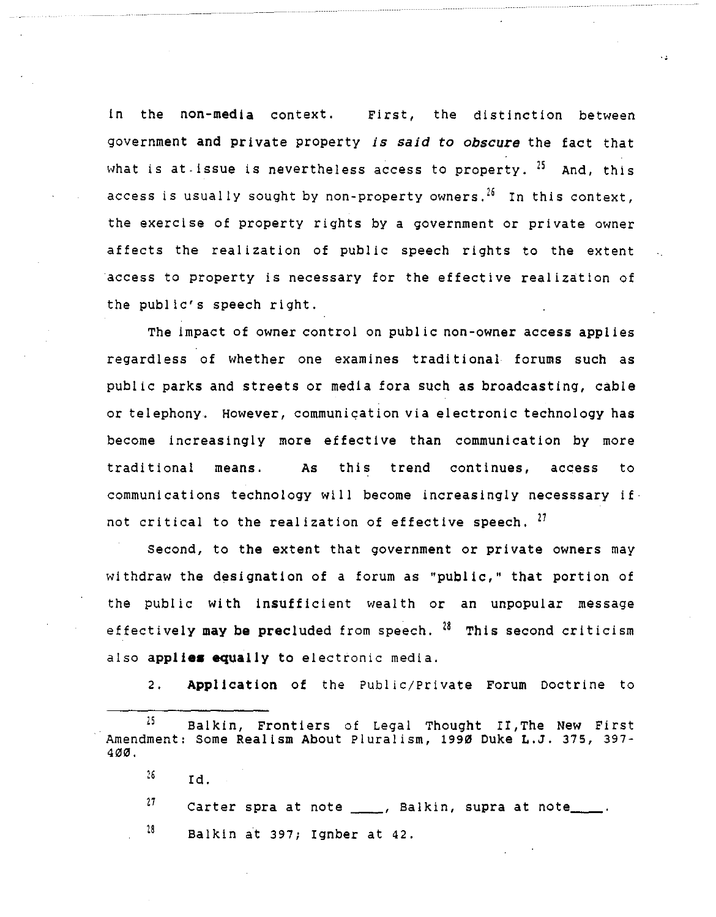in the non-media context. First, the distinction between government and private property *is said to obscure* the fact that what is at issue is nevertheless access to property.  $25$  And, this access is usually sought by non-property owners.<sup>26</sup> In this context, the exercise of property rights by a government or private owner affects the realization of public speech rights to the extent access to property is necessary for the effective realization of the public's speech right.

The impact of owner control on public non-owner access applies regardless of whether one examines traditional forums such as public parks and streets or media fora such as broadcasting, cable or telephony. However, communiqation via electronic technology has become increasingly more effective than communication by more traditional means. **As** this trend continues, access to communications technology will become increasingly necesssary if not critical to the realization of effective speech,  $^{27}$ 

second, to the extent that government or private owners may withdraw the designation of a forum as "public," that portion of the public with insufficient wealth or an unpopular message effectively may be precluded from speech. <sup>28</sup> This second criticism also **applies equally** to electronic media.

2. **Application** of the Pub! ic/Private Forum Doctrine to

26 Id.

27 Carter spra at note \_\_\_\_, Balkin, supra at note \_\_\_\_.

18 Balkin at 397; Ignber at 42.

 $25$  Balkin, Frontiers of Legal Thought II, The New First Amendment: Some Realism About Pluralism, 1990 Duke L.J. 375, 397- 400.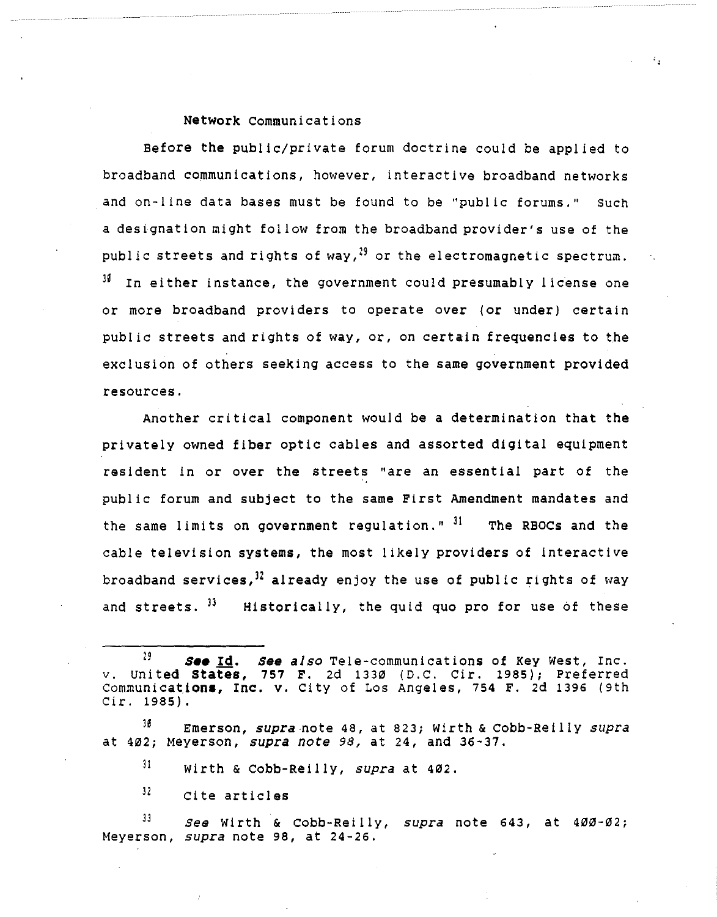## **Network** Communications

Before the public/private forum doctrine could be applied to broadband communications, however, interactive broadband networks and on-line data bases must be found to be ''public forums.'' such a designation might follow from the broadband provider's use of the public streets and rights of way,  $^{29}$  or the electromagnetic spectrum.  $J<sup>36</sup>$  In either instance, the government could presumably license one or more broadband providers to operate over (or under) certain public streets and rights of way, or, on certain frequencies to the exclusion of others seeking access to the same government provided resources.

Another critical component would be a determination that the privately owned fiber optic cables and assorted digital equipment resident in or over the streets "are an essential part of the public forum and subject to the same First Amendment mandates and the same limits on government regulation." <sup>31</sup> The RBOCs and the cable television systems, the most likely providers of interactive broadband services,  $32$  already enjoy the use of public rights of way and streets.  $^{33}$  Historically, the quid quo pro for use of these

 $31$ Wirth & Cobb-Reilly, *supra* at 402.

 $32<sub>1</sub>$ cite articles

ll *See* Wirth & Cobb-Reilly, *supra* note 643, at 400-02; Meyerson, *supra* note 98, at 24-26,

<sup>29</sup> *S••* **Id.** *see also* Tele-communications of Key West, Inc. v. united **States,** 757 F. 2d 1330 (D.C. Cir. 1985); Preferred Communications, Inc. v. City of Los Angeles, 754 F. 2d 1396 (9th Cir. 1985).

lG Emerson, *supra"note* 48, at 823; Wirth & Cobb-Reilly *supra*  at 402; Meyerson, *supra note 98,* at 24, and 36-37.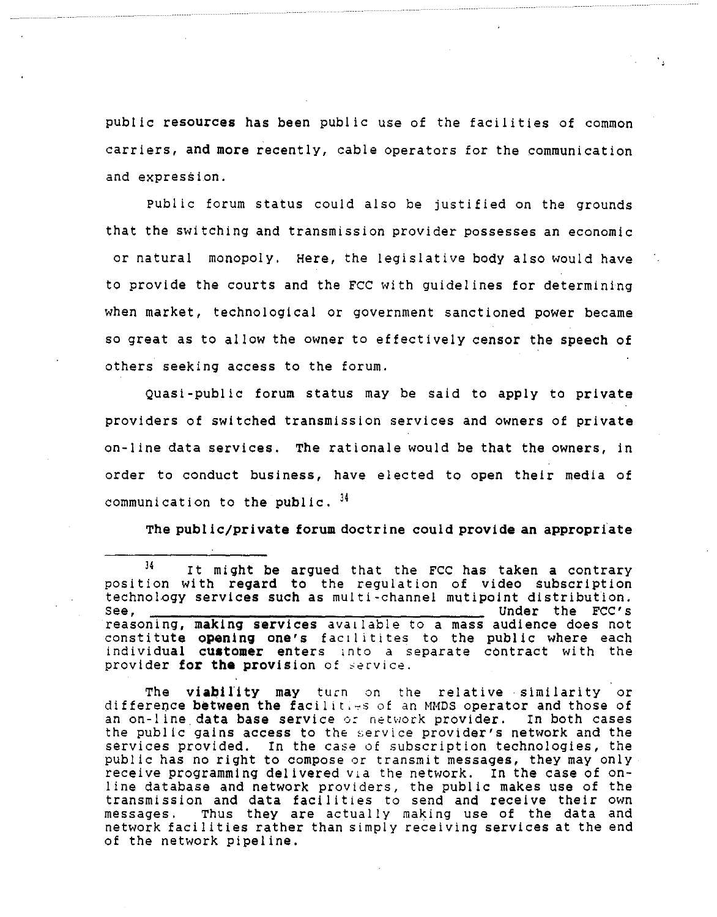public resources has been public use of the facilities of common carriers, **and more** recently, cable operators for the communication and expression.

Public forum status could also be justified on the grounds that the switching and transmission provider possesses an economic or natural monopoly, Here, the legislative body also would have to provide the courts and the FCC with guidelines for determining when market, technological or government sanctioned power became so great as to allow the owner to effectively censor the speech of others seeking access to the forum.

Quasi-public forum status may be said to apply to private providers of switched transmission services and owners of private on-line data services. The rationale would be that the owners, in order to conduct business, have elected to open their media of communication to the public.  $34$ 

The public/private forum doctrine could provide an appropriate

The **viability** may turn on the relative• similarity or difference **between the** facilit,~s of an MMDS operator and those of an on-line.data **base** service *o:* network provider. In both cases the public gains **access** to the service provider's network and the services provided. In the case of subscription technologies, the public has no right to compose or transmit messages, they may only receive programming delivered via the network. In the case of online database and network providers, the public makes use of the transmission and data facilities to send and receive their own messages. Thus they are actually making use of the data and network facilities rather than simply receiving services at the end of the network pipeline.

l4 It might be argued that the FCC has taken a contrary position with regard to the regulation of video subscription technology services such as multi-channel mutipoint distribution. see, --,-----,,...,.-----,------,-.,.------ Under the FCC's reasoning, making services available to a mass audience does not constitute **opening one's** fac1litites to the public where each individual **cuatomer** enters ,nto *a* separate contract with the provider **for the** provision of service.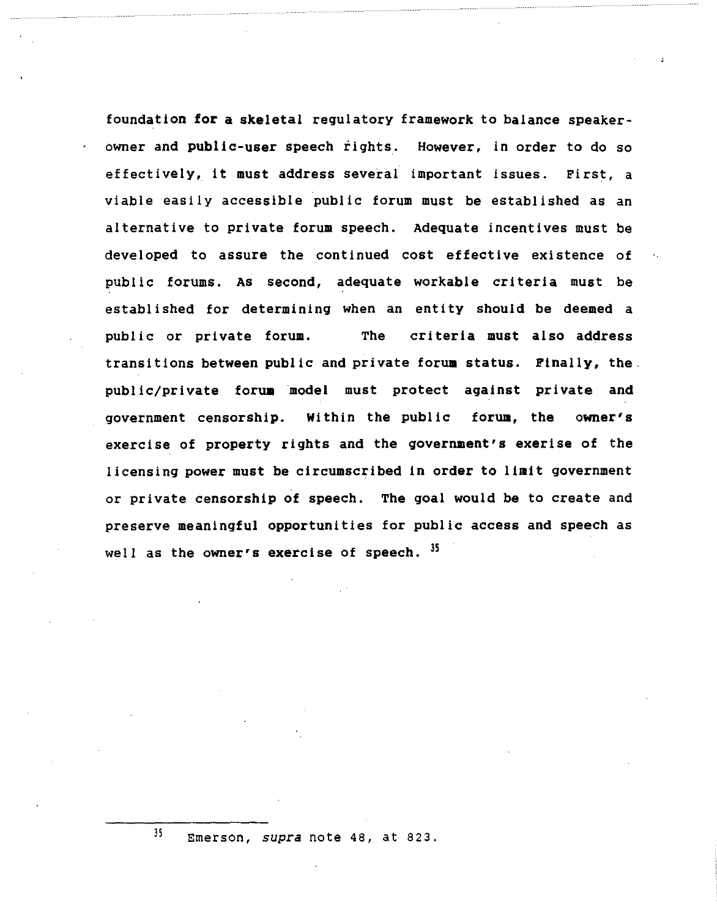foundation **for a skeletal** regulatory framework to balance speakerowner and **public-user** speech rights. However, in order to do so effectively, it must address several important issues. First, a viable easily accessible public forum must be established as an alternative to private forum speech. Adequate incentives must be developed to assure the continued cost effective existence of pub! ic forums. As second, adequate workable criteria must be established for determining when an entity should be deemed a public or private forum. The criteria must also address transitions between public and private forum status. Finally, the. public/private forum model must protect against private and government censorship. Within the public forum, the owner's exercise of property rights and the government's exerise of the licensing power must be circumscribed in order to **limit** government or private censorship of speech. The goal would be to create and preserve meaningful opportunities for public access and speech as well as the owner's exercise of speech.  $35$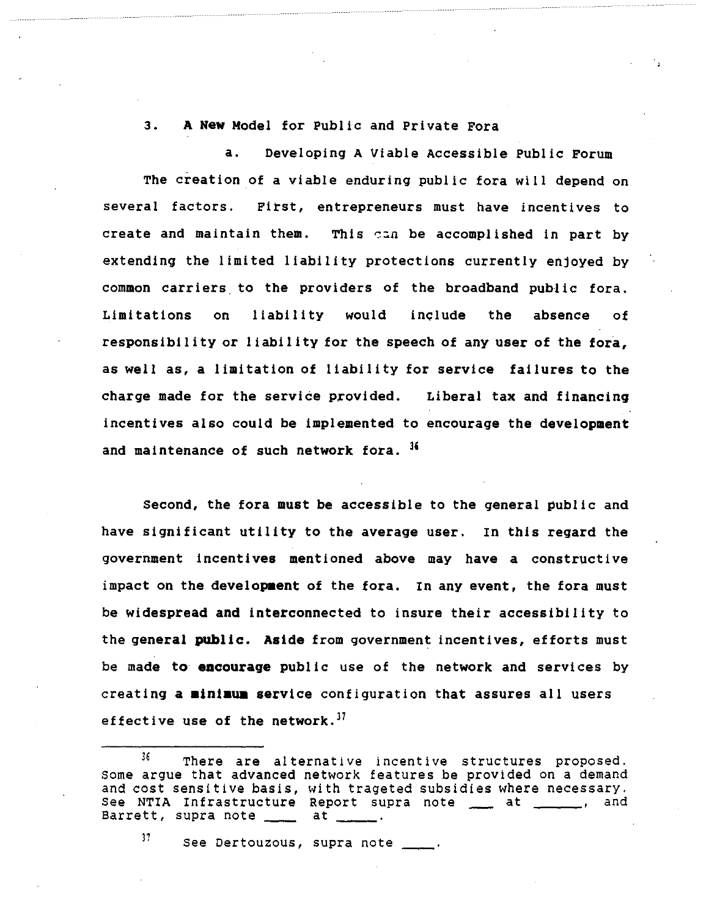## 3. **A New** Model for Public and Private Fora

a. Developing A Viable Accessible Public **Forum**  The creation of a viable enduring public fora will depend on several factors. First, entrepreneurs must have incentives to create and maintain them. This can be accomplished in part by extending the limited liability protections currently enjoyed by common carriers to the providers of the broadband public fora. Limitations on liability would include the **absence** of responsibility or liability for the speech of any user of the fora, as well as, a limitation of liability for service failures to the charge made for the service provided. Liberal tax and financing incentives also could be implemented to encourage the development and maintenance of such network fora. <sup>36</sup>

Second, the fora must be accessible to the general public and have significant utility to the average user. In this regard the government incentives mentioned above may have a constructive impact on the development of the fora. In any event, the fora must be widespread and interconnected to insure their accessibility to the general public. **Aside** from government incentives, efforts must be made to **encourage** public use of the network and services by creating a minimum service configuration that assures all users effective **use of** the **network. <sup>37</sup>**

 $37$  See Dertouzous, supra note  $\_\_\_\$ .

<sup>36</sup> There are alternative incentive structures proposed. Some argue that advanced network features be provided on a demand and cost sensitive basis, with trageted subsidies where necessary. See NTIA Infrastructure Report supra note \_\_ at \_\_\_\_\_, and Barrett, supra note \_\_\_\_\_ at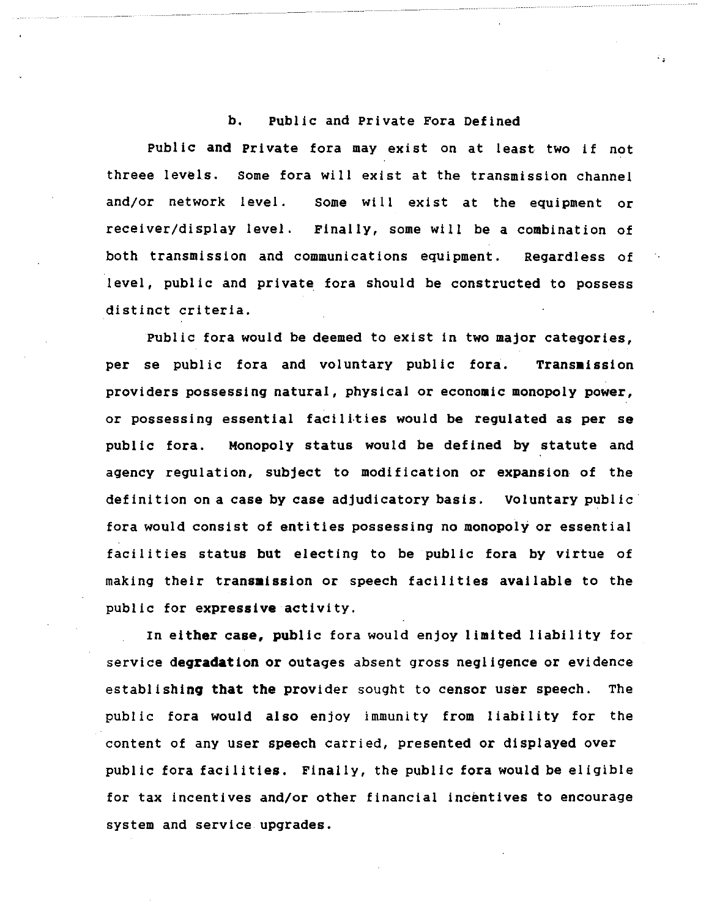## b. Public and Private Fora Defined

Public and Private fora may exist on at least two if not threee levels. some fora will exist at the transmission channel and/or network level. Some will exist at the equipment or receiver/display level. Finally, some will be a combination of both transmission and communications equipment. Regardless of level, public and private fora should be constructed to possess distinct criteria.

Public fora would be deemed to exist in two major categories, per se public fora and voluntary public fora. Transmission providers possessing natural, physical or economic monopoly power, or possessing essential facilities would be regulated as per se pub! ic fora. Monopoly status would be defined by statute and agency regulation, subject to modification or expansion of the definition on a case by case adjudicatory basis. voluntary public fora would consist of entities possessing no monopoly or essential facilities status but electing to be public fora by virtue of making their **transmission** or speech facilities available to the public for **expressive** activity.

In either **case,** public fora would enjoy limited liability for service **degradation** or outages absent gross negligence or evidence establishing that the provider sought to censor user speech. The public fora would also enjoy immunity from liability for the content of any user speech carried, presented or displayed over public fora facilities. Finally, the public fora would be eligible for tax incentives and/or other financial Incentives to encourage system and service upgrades.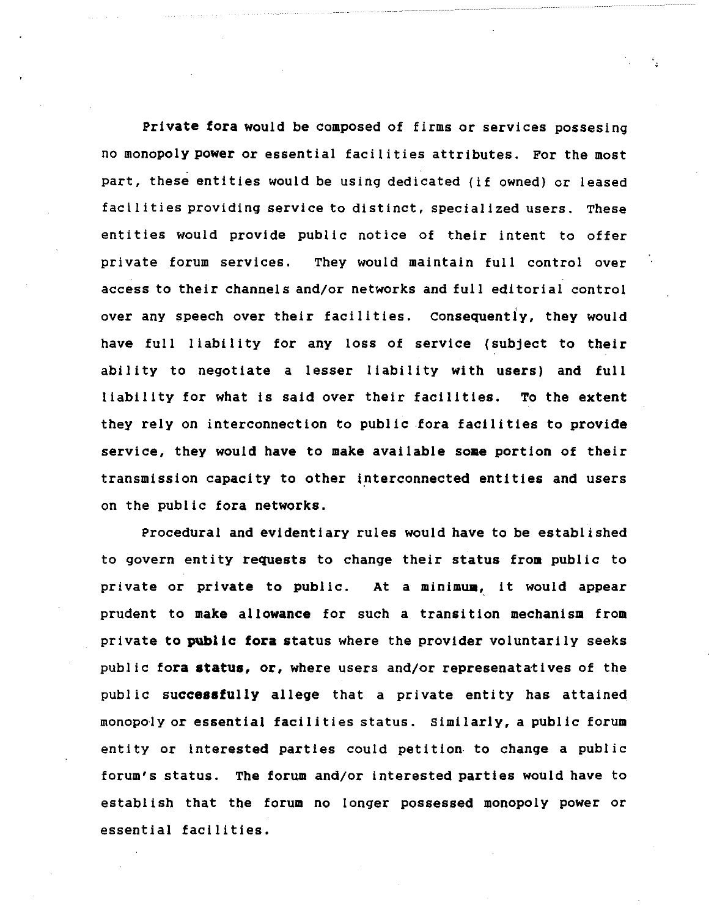**Private fora** would be composed of firms or services possesing no monopoly **power** or essential facilities attributes. For the most part, these entities would be using dedicated (if owned) or leased facilities providing service to distinct, specialized users. These entities would provide public notice of their intent to offer private forum services, They would maintain full control over access to their channels and/or networks and full editorial control over any speech over their facilities. consequently, they would have full liability for any loss of service (subject to their ability to negotiate a lesser liability with users) and full liability for what is said over their facilities. To the extent they rely on interconnection to public fora facilities to provide service, they would have to make available some portion of their transmission capacity to other interconnected entities and users on the public fora networks.

Procedural and evidentiary rules would have to be established to govern entity requests to change their status from public to private or private to public. At a **minimua,** it would appear prudent to make allowance for such a transition mechanism from private to **public fora** status where the provider voluntarily seeks public fora status, or, where users and/or represenatatives of the public **successfully** allege that a private entity has attained\_ monopoly or essential facilities status. Similarly, a public forum entity or interested parties could petition- to change a public forum's status. The forum and/or interested parties would have to establish that the forum no longer possessed monopoly power or essential facilities.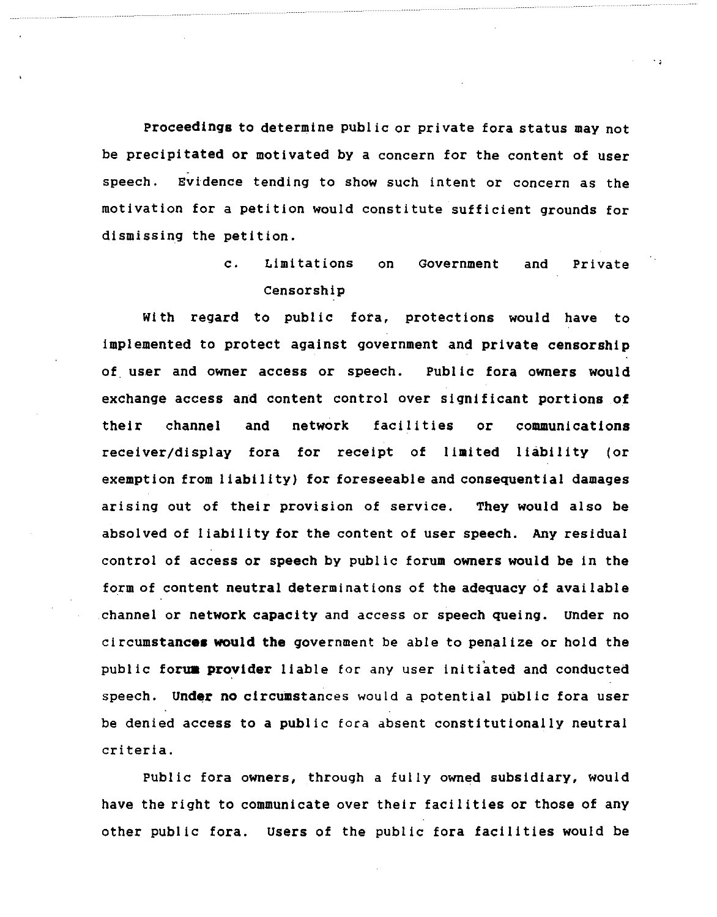**Proceedings** to determine public or private fora status may not be precipitated or motivated by a concern for the content of user speech. Evidence tending to show such intent or concern as the motivation for a petition would constitute sufficient grounds for dismissing the petition.

# c. Limitations on Government and Private Censorship

With regard to public fora, protections would have to implemented to protect against government and **private censorship**  of user and owner access or speech. Public fora owners would exchange access and content control over significant portions of their channel and network facilities or communications receiver/display fora for receipt of **limited** liability (or exemption from liability) for foreseeable and consequential damages arising out of their provision of service. They would also be absolved of liability for the content of user speech. Any residual control of access or speech by public forum owners would be in the form of content neutral determinations of the adequacy of available channel or network **capacity** and access or speech queing. under no **circumstances would the** government be able to penalize or hold the public forum provider liable for any user initiated and conducted speech. Under no circumstances would a potential public fora user be denied access to a public fora absent constitutionally neutral criteria.

Public fora owners, through a fully owned subsidiary, would have the right to communicate over their facilities or those of any other public fora. users of the public fora facilities would be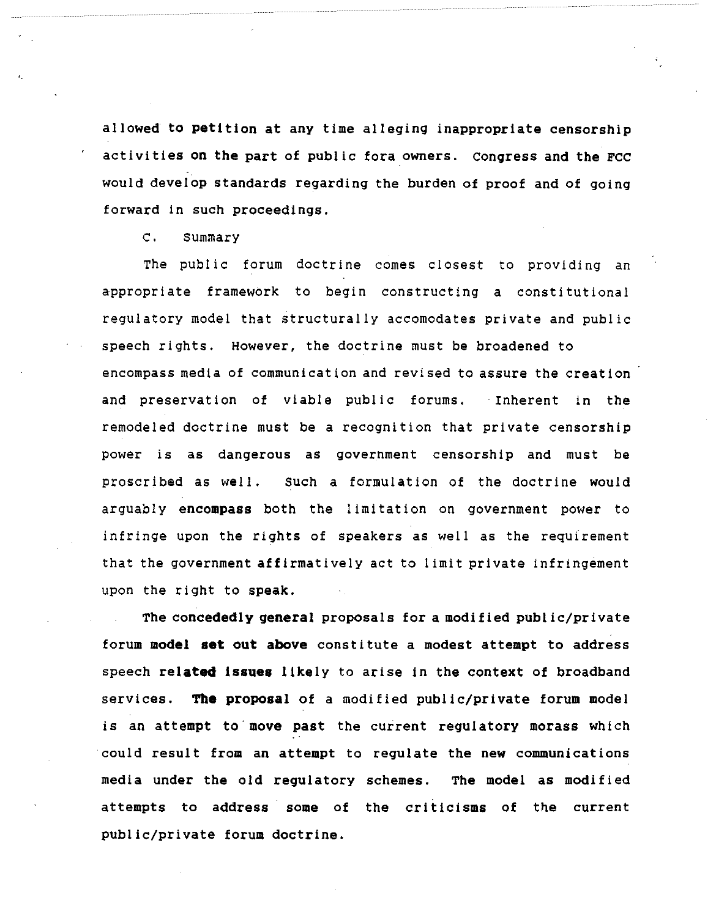allowed to petition at any time alleging inappropriate censorship activities on the part of public fora owners. congress and the FCC would develop standards regarding the burden of proof and of going forward in such proceedings.

c. summary

The public forum doctrine comes closest to providing an appropriate framework to begin constructing a constitutional regulatory model that structurally accomodates private and public speech rights. However, the doctrine must be broadened to encompass media of communication and revised to assure the creation and preservation of viable public forums. • Inherent in the remodeled doctrine must be a recognition that private censorship power is as dangerous as government censorship and must be proscribed as well. Such a formulation of the doctrine would arguably **encompass** both the limitation on government power to infringe upon the rights of speakers as well as the requirement that the government affirmatively act to limit private infringement upon the right to **speak.** 

The concededly **general** proposals for a modified public/private forum model set out above constitute a modest attempt to address speech related issues likely to arise in the context of broadband services. **The** proposal of a modified public/private forum model is an attempt to move past the current regulatory morass which could result from an attempt to regulate the new communications media under the old regulatory schemes. The model as modified attempts to address some of the criticisms of the current public/private forum doctrine.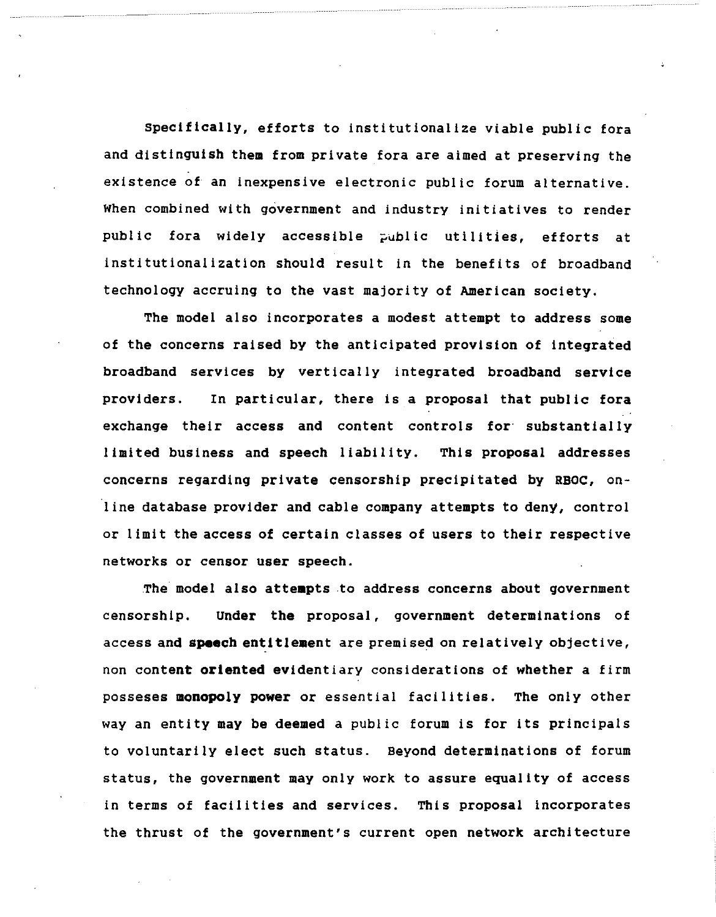**Specifically,** efforts to institutionalize viable public fora and distinguish **them** from private fora are aimed at preserving the existence of an inexpensive electronic public forum alternative. When combined with government and industry initiatives to render public fora widely accessible public utilities, efforts at institutionalization should result in the benefits of broadband technology accruing to the vast majority of American society.

The model also incorporates a modest attempt to address some of the concerns raised by the anticipated provision of integrated broadband services by vertically integrated broadband service providers. In particular, there is a proposal that public fora exchange their access and content controls for substantially limited business and speech liability. This proposal addresses concerns regarding private censorship precipitated by RBOC, on-1 ine database provider and cable company attempts to deny, control or limit the access of certain classes of users to their respective networks or censor user speech.

The model also attempts to address concerns about government censorship. Under the proposal, government determinations of access and **speech** entitlement are premised on relatively objective, non content **oriented** evidentiary considerations of whether a firm posseses monopoly power or essential facilities. The only other way an entity may be deemed a public forum is for its principals to voluntarily elect such status. Beyond determinations of forum status, the government may only work to assure equality of access in terms of facilities and services. This proposal incorporates the thrust of the government's current open network architecture